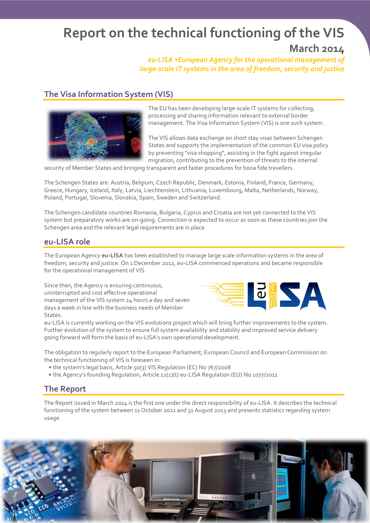# Report on the technical functioning of the VIS

## March 2014

*eu-LISA •European Agency for the operational management of large-scale IT systems in the area of freedom, security and justice*

### The Visa Information System (VIS)



The EU has been developing large-scale IT systems for collecting, processing and sharing information relevant to external border management. The Visa Information System (VIS) is one such system.

The VIS allows data exchange on short stay visas between Schengen States and supports the implementation of the common EU visa policy by preventing "visa shopping", assisting in the fight against irregular migration, contributing to the prevention of threats to the internal

security of Member States and bringing transparent and faster procedures for bona fide travellers.

The Schengen States are: Austria, Belgium, Czech Republic, Denmark, Estonia, Finland, France, Germany, Greece, Hungary, Iceland, Italy, Latvia, Liechtenstein, Lithuania, Luxembourg, Malta, Netherlands, Norway, Poland, Portugal, Slovenia, Slovakia, Spain, Sweden and Switzerland.

The Schengen candidate countries Romania, Bulgaria, Cyprus and Croatia are not yet connected to the VIS system but preparatory works are on-going. Connection is expected to occur as soon as these countries join the Schengen area and the relevant legal requirements are in place.

#### eu-LISA role

The European Agency eu-LISA has been established to manage large scale information systems in the area of freedom, security and justice. On 1 December 2012, eu-LISA commenced operations and became responsible for the operational management of VIS.

Since then, the Agency is ensuring continuous, uninterrupted and cost effective operational management of the VIS system 24 hours a day and seven days a week in line with the business needs of Member States.



eu-LISA is currently working on the VIS evolutions project which will bring further improvements to the system. Further evolution of the system to ensure full system availability and stability and improved service delivery going forward will form the basis of eu-LISA's own operational development.

The obligation to regularly report to the European Parliament, European Council and European Commission on the technical functioning of VIS is foreseen in:

- the system's legal basis, Article 50(3) VIS Regulation (EC) No 767/2008
- the Agency's founding Regulation, Article 12(1)(t) eu-LISA Regulation (EU) No 1077/2011

#### The Report

The Report issued in March 2014 is the first one under the direct responsibility of eu-LISA. It describes the technical functioning of the system between 11 October 2011 and 31 August 2013 and presents statistics regarding system usage.